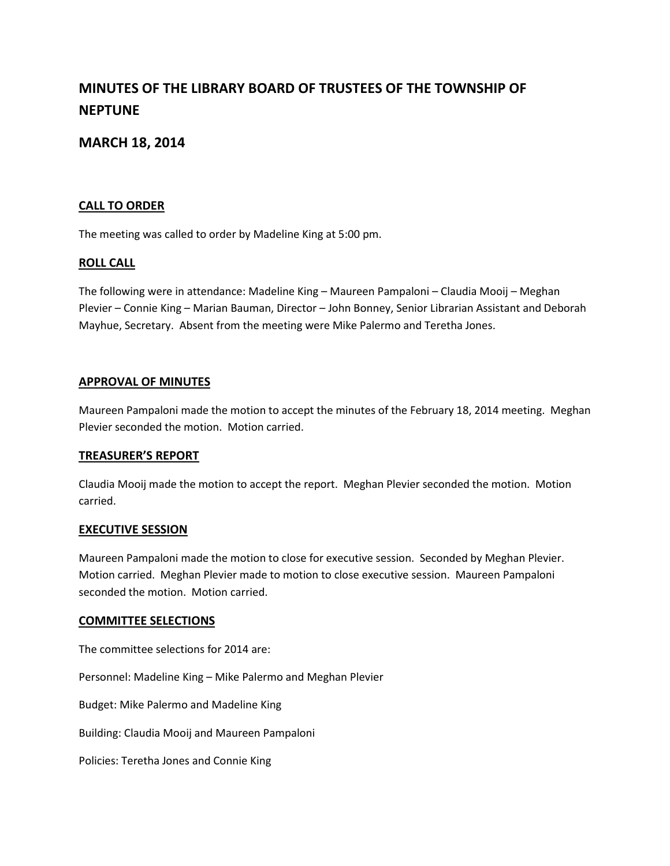# **MINUTES OF THE LIBRARY BOARD OF TRUSTEES OF THE TOWNSHIP OF NEPTUNE**

# **MARCH 18, 2014**

# **CALL TO ORDER**

The meeting was called to order by Madeline King at 5:00 pm.

# **ROLL CALL**

The following were in attendance: Madeline King – Maureen Pampaloni – Claudia Mooij – Meghan Plevier – Connie King – Marian Bauman, Director – John Bonney, Senior Librarian Assistant and Deborah Mayhue, Secretary. Absent from the meeting were Mike Palermo and Teretha Jones.

# **APPROVAL OF MINUTES**

Maureen Pampaloni made the motion to accept the minutes of the February 18, 2014 meeting. Meghan Plevier seconded the motion. Motion carried.

### **TREASURER'S REPORT**

Claudia Mooij made the motion to accept the report. Meghan Plevier seconded the motion. Motion carried.

### **EXECUTIVE SESSION**

Maureen Pampaloni made the motion to close for executive session. Seconded by Meghan Plevier. Motion carried. Meghan Plevier made to motion to close executive session. Maureen Pampaloni seconded the motion. Motion carried.

### **COMMITTEE SELECTIONS**

The committee selections for 2014 are:

Personnel: Madeline King – Mike Palermo and Meghan Plevier

Budget: Mike Palermo and Madeline King

Building: Claudia Mooij and Maureen Pampaloni

Policies: Teretha Jones and Connie King